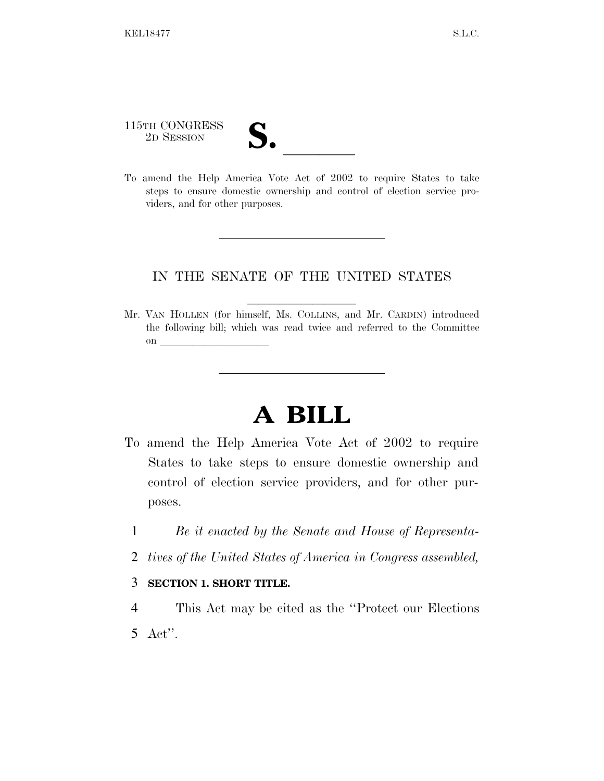115TH CONGRESS 115TH CONGRESS<br>
2D SESSION<br>
To amend the Help America Vote Act of 2002 to require States to take

steps to ensure domestic ownership and control of election service providers, and for other purposes.

## IN THE SENATE OF THE UNITED STATES

Mr. VAN HOLLEN (for himself, Ms. COLLINS, and Mr. CARDIN) introduced the following bill; which was read twice and referred to the Committee on  $\overline{\qquad \qquad }$ 

## **A BILL**

- To amend the Help America Vote Act of 2002 to require States to take steps to ensure domestic ownership and control of election service providers, and for other purposes.
	- 1 *Be it enacted by the Senate and House of Representa-*
	- 2 *tives of the United States of America in Congress assembled,*
	- 3 **SECTION 1. SHORT TITLE.**
	- 4 This Act may be cited as the ''Protect our Elections 5 Act''.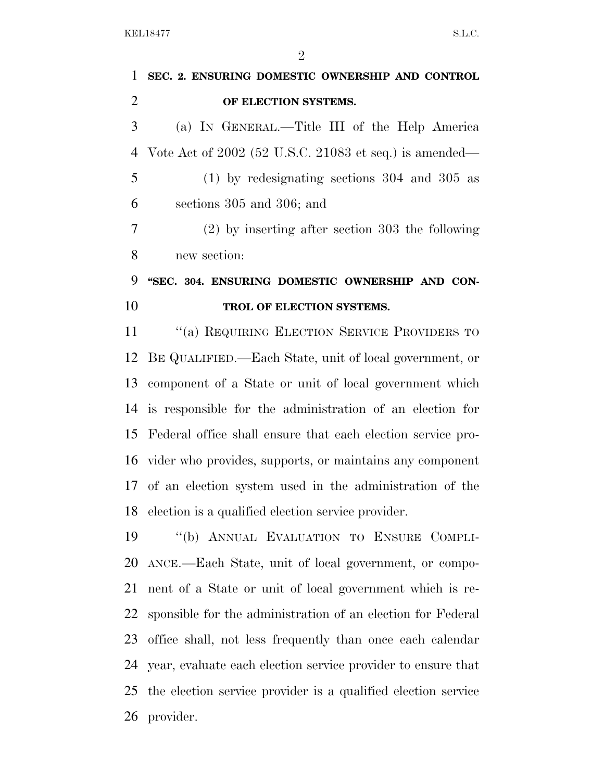| $\mathbf{1}$   | SEC. 2. ENSURING DOMESTIC OWNERSHIP AND CONTROL             |
|----------------|-------------------------------------------------------------|
| $\overline{2}$ | OF ELECTION SYSTEMS.                                        |
| 3              | (a) IN GENERAL.—Title III of the Help America               |
| $\overline{4}$ | Vote Act of $2002$ (52 U.S.C. 21083 et seq.) is amended—    |
| 5              | $(1)$ by redesignating sections 304 and 305 as              |
| 6              | sections 305 and 306; and                                   |
| 7              | $(2)$ by inserting after section 303 the following          |
| 8              | new section:                                                |
| 9              | "SEC. 304. ENSURING DOMESTIC OWNERSHIP AND CON-             |
| 10             | TROL OF ELECTION SYSTEMS.                                   |
| 11             | "(a) REQUIRING ELECTION SERVICE PROVIDERS TO                |
| 12             | BE QUALIFIED.—Each State, unit of local government, or      |
| 13             | component of a State or unit of local government which      |
|                | 14 is responsible for the administration of an election for |
| 15             | Federal office shall ensure that each election service pro- |
|                | 16 vider who provides, supports, or maintains any component |
|                | 17 of an election system used in the administration of the  |
| 18             | election is a qualified election service provider.          |
| 19             | "(b) ANNUAL EVALUATION TO ENSURE COMPLI-                    |
| 20             | ANCE.—Each State, unit of local government, or compo-       |
| 21             | nent of a State or unit of local government which is re-    |
| 22             | sponsible for the administration of an election for Federal |
| 23             | office shall, not less frequently than once each calendar   |
|                |                                                             |

 year, evaluate each election service provider to ensure that the election service provider is a qualified election service provider.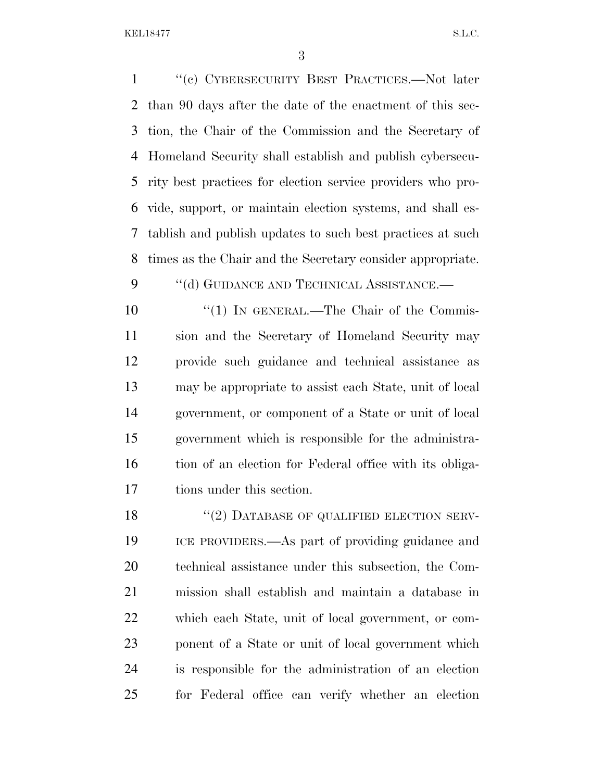''(c) CYBERSECURITY BEST PRACTICES.—Not later than 90 days after the date of the enactment of this sec- tion, the Chair of the Commission and the Secretary of Homeland Security shall establish and publish cybersecu- rity best practices for election service providers who pro- vide, support, or maintain election systems, and shall es- tablish and publish updates to such best practices at such times as the Chair and the Secretary consider appropriate.

9 "(d) GUIDANCE AND TECHNICAL ASSISTANCE.—

 $\frac{10}{10}$  IN GENERAL.—The Chair of the Commis- sion and the Secretary of Homeland Security may provide such guidance and technical assistance as may be appropriate to assist each State, unit of local government, or component of a State or unit of local government which is responsible for the administra-16 tion of an election for Federal office with its obliga-tions under this section.

18 "(2) DATABASE OF QUALIFIED ELECTION SERV- ICE PROVIDERS.—As part of providing guidance and technical assistance under this subsection, the Com- mission shall establish and maintain a database in which each State, unit of local government, or com- ponent of a State or unit of local government which is responsible for the administration of an election for Federal office can verify whether an election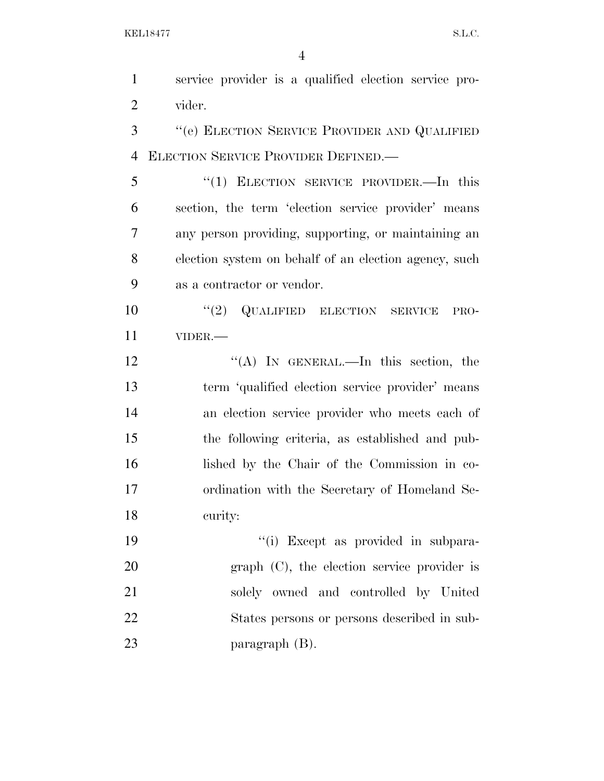service provider is a qualified election service pro- vider. ''(e) ELECTION SERVICE PROVIDER AND QUALIFIED ELECTION SERVICE PROVIDER DEFINED.—

 ''(1) ELECTION SERVICE PROVIDER.—In this section, the term 'election service provider' means any person providing, supporting, or maintaining an election system on behalf of an election agency, such as a contractor or vendor.

10  $\frac{10}{2}$  QUALIFIED ELECTION SERVICE PRO-VIDER.—

12 "(A) In GENERAL.—In this section, the term 'qualified election service provider' means an election service provider who meets each of the following criteria, as established and pub- lished by the Chair of the Commission in co- ordination with the Secretary of Homeland Se-curity:

 $\frac{1}{2}$   $\frac{1}{2}$  Except as provided in subpara- graph (C), the election service provider is solely owned and controlled by United States persons or persons described in sub-paragraph (B).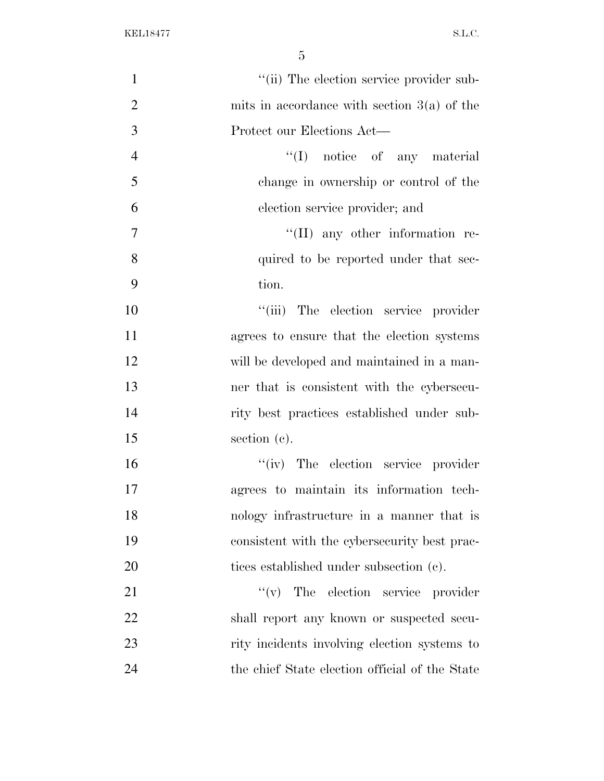| $\mathbf{1}$   | "(ii) The election service provider sub-       |
|----------------|------------------------------------------------|
| $\overline{2}$ | mits in accordance with section $3(a)$ of the  |
| 3              | Protect our Elections Act—                     |
| $\overline{4}$ | $\lq\lq$ (I) notice of any material            |
| 5              | change in ownership or control of the          |
| 6              | election service provider; and                 |
| $\tau$         | $\lq\lq$ (II) any other information re-        |
| 8              | quired to be reported under that sec-          |
| 9              | tion.                                          |
| 10             | "(iii) The election service provider           |
| 11             | agrees to ensure that the election systems     |
| 12             | will be developed and maintained in a man-     |
| 13             | ner that is consistent with the cybersecu-     |
| 14             | rity best practices established under sub-     |
| 15             | section (c).                                   |
| 16             | "(iv) The election service provider            |
| 17             | agrees to maintain its information tech-       |
| 18             | nology infrastructure in a manner that is      |
| 19             | consistent with the cybersecurity best prac-   |
| 20             | tices established under subsection (c).        |
| 21             | $f'(v)$ The election service provider          |
| 22             | shall report any known or suspected secu-      |
| 23             | rity incidents involving election systems to   |
| 24             | the chief State election official of the State |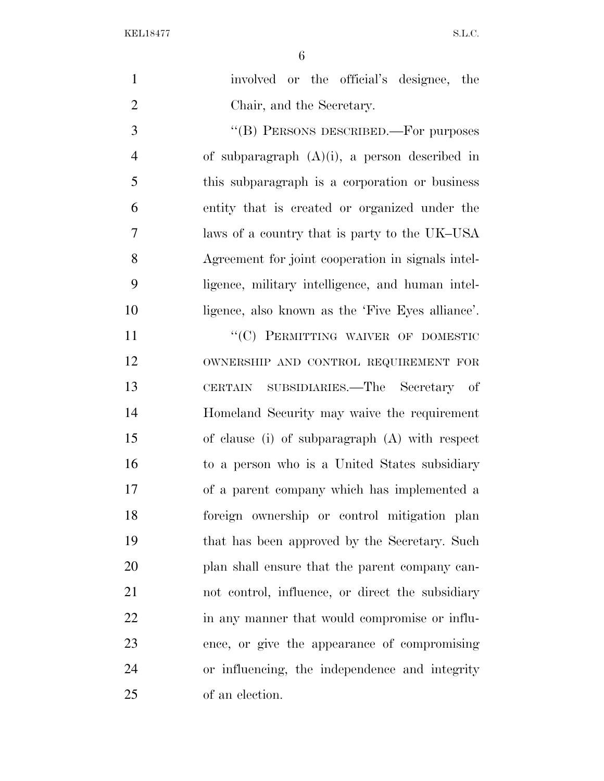| $\mathbf{1}$   | involved or the official's designee, the          |
|----------------|---------------------------------------------------|
| $\overline{2}$ | Chair, and the Secretary.                         |
| 3              | "(B) PERSONS DESCRIBED.—For purposes              |
| $\overline{4}$ | of subparagraph $(A)(i)$ , a person described in  |
| 5              | this subparagraph is a corporation or business    |
| 6              | entity that is created or organized under the     |
| $\overline{7}$ | laws of a country that is party to the UK-USA     |
| 8              | Agreement for joint cooperation in signals intel- |
| 9              | ligence, military intelligence, and human intel-  |
| 10             | ligence, also known as the 'Five Eyes alliance'.  |
| 11             | "(C) PERMITTING WAIVER OF DOMESTIC                |
| 12             | OWNERSHIP AND CONTROL REQUIREMENT FOR             |
| 13             | SUBSIDIARIES.—The Secretary of<br>CERTAIN         |
| 14             | Homeland Security may waive the requirement       |
| 15             | of clause (i) of subparagraph (A) with respect    |
| 16             | to a person who is a United States subsidiary     |
| 17             | of a parent company which has implemented a       |
| 18             | foreign ownership or control mitigation plan      |
| 19             | that has been approved by the Secretary. Such     |
| 20             | plan shall ensure that the parent company can-    |
| 21             | not control, influence, or direct the subsidiary  |
| 22             | in any manner that would compromise or influ-     |
| 23             | ence, or give the appearance of compromising      |
| 24             | or influencing, the independence and integrity    |
| 25             | of an election.                                   |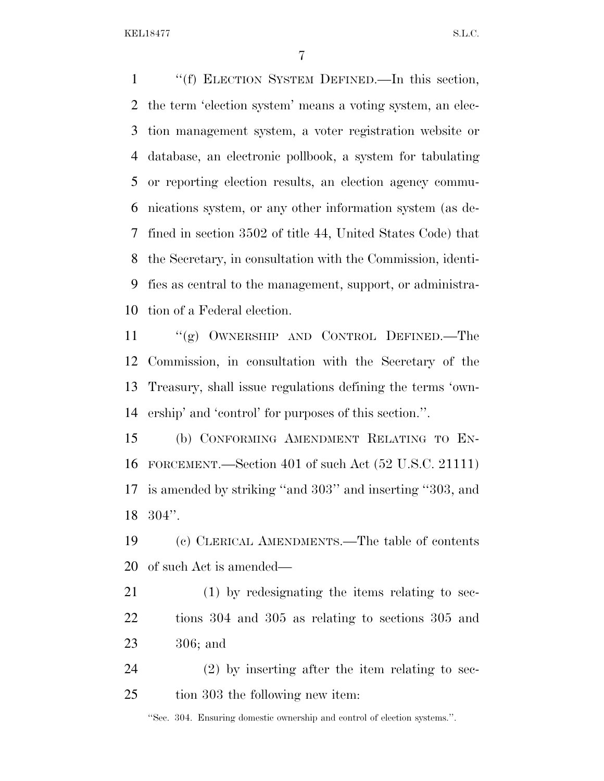''(f) ELECTION SYSTEM DEFINED.—In this section, the term 'election system' means a voting system, an elec- tion management system, a voter registration website or database, an electronic pollbook, a system for tabulating or reporting election results, an election agency commu- nications system, or any other information system (as de- fined in section 3502 of title 44, United States Code) that the Secretary, in consultation with the Commission, identi- fies as central to the management, support, or administra-tion of a Federal election.

 ''(g) OWNERSHIP AND CONTROL DEFINED.—The Commission, in consultation with the Secretary of the Treasury, shall issue regulations defining the terms 'own-ership' and 'control' for purposes of this section.''.

 (b) CONFORMING AMENDMENT RELATING TO EN- FORCEMENT.—Section 401 of such Act (52 U.S.C. 21111) is amended by striking ''and 303'' and inserting ''303, and 304''.

 (c) CLERICAL AMENDMENTS.—The table of contents of such Act is amended—

 (1) by redesignating the items relating to sec- tions 304 and 305 as relating to sections 305 and 306; and

 (2) by inserting after the item relating to sec-tion 303 the following new item:

''Sec. 304. Ensuring domestic ownership and control of election systems.''.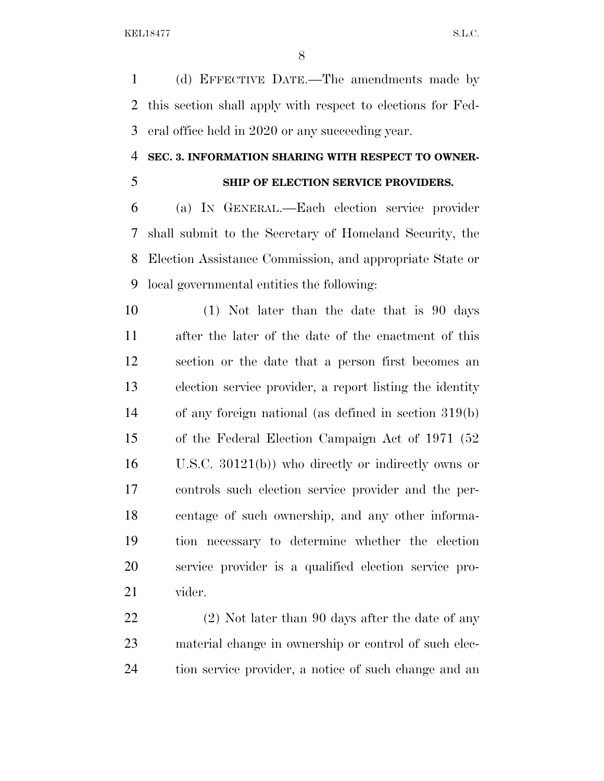(d) EFFECTIVE DATE.—The amendments made by this section shall apply with respect to elections for Fed-eral office held in 2020 or any succeeding year.

## **SEC. 3. INFORMATION SHARING WITH RESPECT TO OWNER-**

## **SHIP OF ELECTION SERVICE PROVIDERS.**

 (a) IN GENERAL.—Each election service provider shall submit to the Secretary of Homeland Security, the Election Assistance Commission, and appropriate State or local governmental entities the following:

 (1) Not later than the date that is 90 days after the later of the date of the enactment of this section or the date that a person first becomes an election service provider, a report listing the identity of any foreign national (as defined in section 319(b) of the Federal Election Campaign Act of 1971 (52 U.S.C. 30121(b)) who directly or indirectly owns or controls such election service provider and the per- centage of such ownership, and any other informa- tion necessary to determine whether the election service provider is a qualified election service pro-vider.

22 (2) Not later than 90 days after the date of any material change in ownership or control of such elec-tion service provider, a notice of such change and an